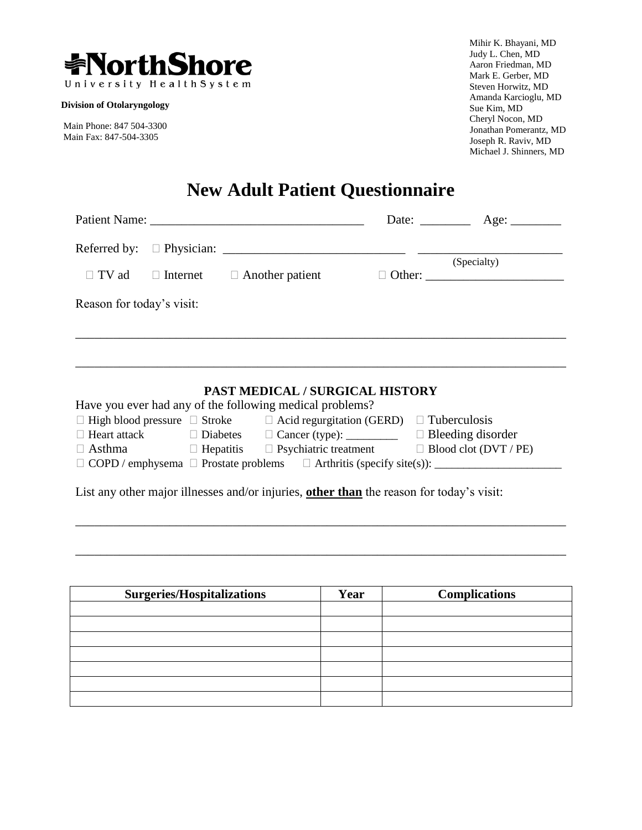

**Division of Otolaryngology**

Main Phone: 847 504-3300 Main Fax: 847-504-3305

Mihir K. Bhayani, MD Judy L. Chen, MD Aaron Friedman, MD Mark E. Gerber, MD Steven Horwitz, MD Amanda Karcioglu, MD Sue Kim, MD Cheryl Nocon, MD Jonathan Pomerantz, MD Joseph R. Raviv, MD Michael J. Shinners, MD

# **New Adult Patient Questionnaire**

|                           | Patient Name: 2008. Expanding the Material School and Taylor and Taylor and Taylor and Taylor and Taylor and Taylor and Taylor and Taylor and Taylor and Taylor and Taylor and Taylor and Taylor and Taylor and Taylor and Tay |  |             |
|---------------------------|--------------------------------------------------------------------------------------------------------------------------------------------------------------------------------------------------------------------------------|--|-------------|
|                           |                                                                                                                                                                                                                                |  |             |
|                           |                                                                                                                                                                                                                                |  | (Specialty) |
| $\Box$ TV ad              | $\Box$ Internet $\Box$ Another patient                                                                                                                                                                                         |  |             |
| Reason for today's visit: |                                                                                                                                                                                                                                |  |             |
|                           |                                                                                                                                                                                                                                |  |             |
|                           |                                                                                                                                                                                                                                |  |             |
|                           |                                                                                                                                                                                                                                |  |             |
|                           |                                                                                                                                                                                                                                |  |             |
|                           | PAST MEDICAL / SURGICAL HISTORY                                                                                                                                                                                                |  |             |
|                           | Have you ever had any of the following medical problems?                                                                                                                                                                       |  |             |
|                           | $\Box$ High blood pressure $\Box$ Stroke $\Box$ Acid regurgitation (GERD) $\Box$ Tuberculosis                                                                                                                                  |  |             |
|                           | □ Heart attack □ Diabetes □ Cancer (type): □ Bleeding disorder                                                                                                                                                                 |  |             |
|                           | $\Box$ Asthma $\Box$ Hepatitis $\Box$ Psychiatric treatment $\Box$ Blood clot (DVT / PE)                                                                                                                                       |  |             |
|                           |                                                                                                                                                                                                                                |  |             |
|                           |                                                                                                                                                                                                                                |  |             |
|                           | List any other major illnesses and/or injuries, other than the reason for today's visit:                                                                                                                                       |  |             |
|                           |                                                                                                                                                                                                                                |  |             |
|                           |                                                                                                                                                                                                                                |  |             |
|                           |                                                                                                                                                                                                                                |  |             |
|                           |                                                                                                                                                                                                                                |  |             |

| <b>Surgeries/Hospitalizations</b> | Year | <b>Complications</b> |
|-----------------------------------|------|----------------------|
|                                   |      |                      |
|                                   |      |                      |
|                                   |      |                      |
|                                   |      |                      |
|                                   |      |                      |
|                                   |      |                      |
|                                   |      |                      |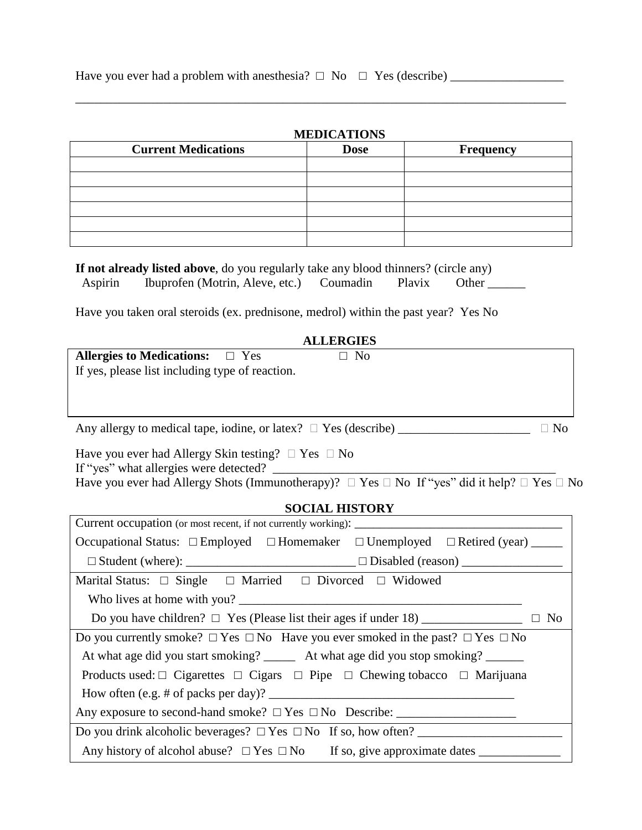|  | Have you ever had a problem with an esthesia? $\Box$ No $\Box$ Yes (describe) |  |
|--|-------------------------------------------------------------------------------|--|
|--|-------------------------------------------------------------------------------|--|

# **MEDICATIONS**

| <b>Current Medications</b> | <b>Dose</b> | Frequency |
|----------------------------|-------------|-----------|
|                            |             |           |
|                            |             |           |
|                            |             |           |
|                            |             |           |
|                            |             |           |
|                            |             |           |

\_\_\_\_\_\_\_\_\_\_\_\_\_\_\_\_\_\_\_\_\_\_\_\_\_\_\_\_\_\_\_\_\_\_\_\_\_\_\_\_\_\_\_\_\_\_\_\_\_\_\_\_\_\_\_\_\_\_\_\_\_\_\_\_\_\_\_\_\_\_\_\_\_\_\_\_\_\_

|         | If not already listed above, do you regularly take any blood thinners? (circle any) |        |       |  |
|---------|-------------------------------------------------------------------------------------|--------|-------|--|
| Aspirin | Ibuprofen (Motrin, Aleve, etc.) Coumadin                                            | Plavix | Other |  |

Have you taken oral steroids (ex. prednisone, medrol) within the past year? Yes No

| <b>ALLERGIES</b>                                                                           |           |            |  |  |
|--------------------------------------------------------------------------------------------|-----------|------------|--|--|
| Allergies to Medications: $\square$ Yes<br>If yes, please list including type of reaction. | $\Box$ No |            |  |  |
|                                                                                            |           |            |  |  |
| Any allergy to medical tape, iodine, or latex? $\Box$ Yes (describe)                       |           | $\cup$ Ne. |  |  |

Have you ever had Allergy Skin testing?  $\Box$  Yes  $\Box$  No If "yes" what allergies were detected? Have you ever had Allergy Shots (Immunotherapy)?  $\Box$  Yes  $\Box$  No If "yes" did it help?  $\Box$  Yes  $\Box$  No

### **SOCIAL HISTORY**

| Occupational Status: $\square$ Employed $\square$ Homemaker $\square$ Unemployed $\square$ Retired (year) _____ |  |  |  |  |  |
|-----------------------------------------------------------------------------------------------------------------|--|--|--|--|--|
|                                                                                                                 |  |  |  |  |  |
| Marital Status: $\Box$ Single $\Box$ Married $\Box$ Divorced $\Box$ Widowed                                     |  |  |  |  |  |
|                                                                                                                 |  |  |  |  |  |
|                                                                                                                 |  |  |  |  |  |
| Do you currently smoke? $\Box$ Yes $\Box$ No Have you ever smoked in the past? $\Box$ Yes $\Box$ No             |  |  |  |  |  |
| At what age did you start smoking? _______ At what age did you stop smoking? ______                             |  |  |  |  |  |
| Products used: $\Box$ Cigarettes $\Box$ Cigars $\Box$ Pipe $\Box$ Chewing tobacco $\Box$ Marijuana              |  |  |  |  |  |
|                                                                                                                 |  |  |  |  |  |
|                                                                                                                 |  |  |  |  |  |
| Do you drink alcoholic beverages? $\Box$ Yes $\Box$ No If so, how often?                                        |  |  |  |  |  |
|                                                                                                                 |  |  |  |  |  |